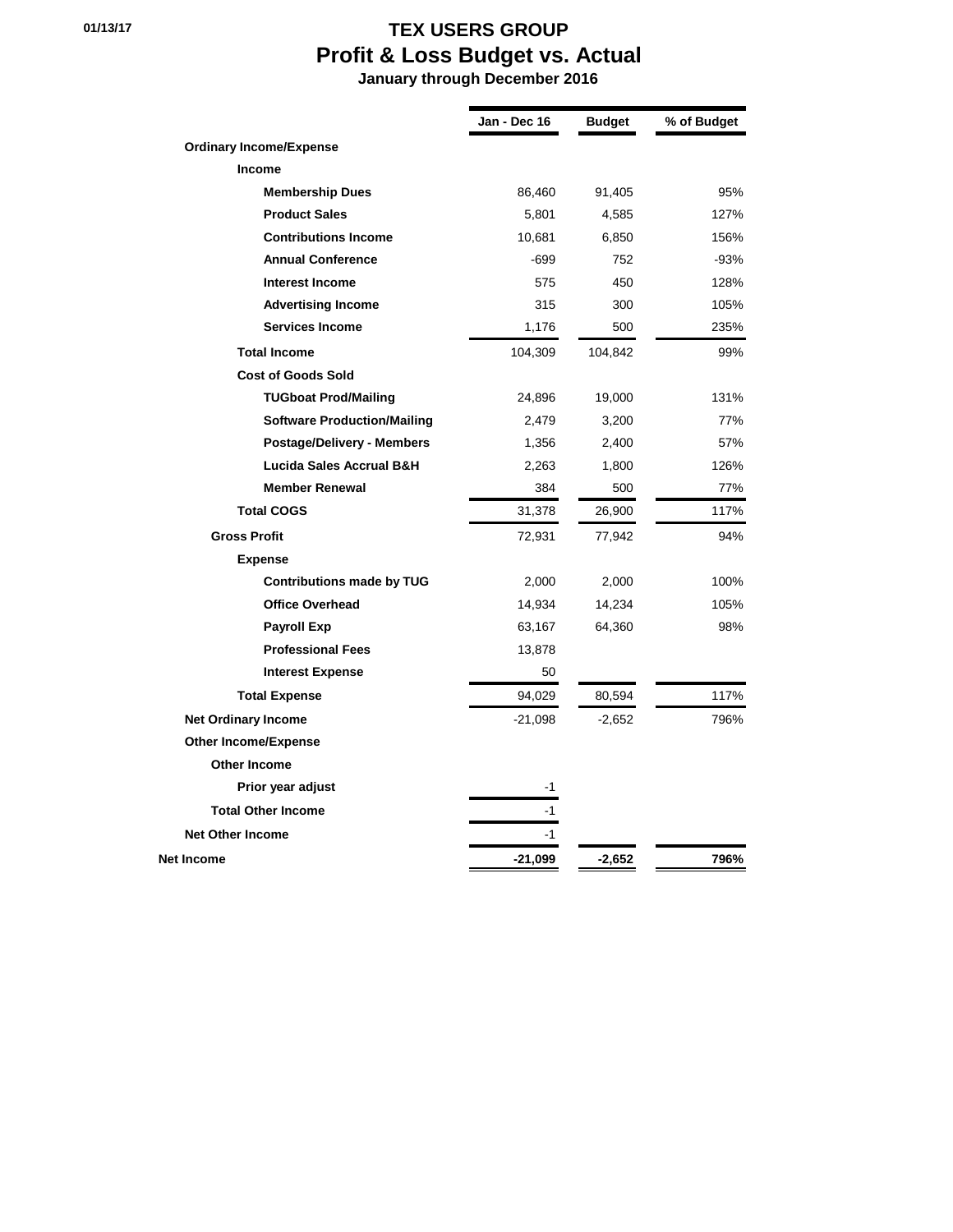## **01/13/17 TEX USERS GROUP Profit & Loss Budget vs. Actual**

 **January through December 2016**

|                                    | Jan - Dec 16 | Budget   | % of Budget |
|------------------------------------|--------------|----------|-------------|
| <b>Ordinary Income/Expense</b>     |              |          |             |
| Income                             |              |          |             |
| <b>Membership Dues</b>             | 86,460       | 91,405   | 95%         |
| <b>Product Sales</b>               | 5,801        | 4,585    | 127%        |
| <b>Contributions Income</b>        | 10,681       | 6,850    | 156%        |
| <b>Annual Conference</b>           | $-699$       | 752      | $-93%$      |
| <b>Interest Income</b>             | 575          | 450      | 128%        |
| <b>Advertising Income</b>          | 315          | 300      | 105%        |
| <b>Services Income</b>             | 1,176        | 500      | 235%        |
| <b>Total Income</b>                | 104,309      | 104,842  | 99%         |
| <b>Cost of Goods Sold</b>          |              |          |             |
| <b>TUGboat Prod/Mailing</b>        | 24,896       | 19,000   | 131%        |
| <b>Software Production/Mailing</b> | 2,479        | 3,200    | 77%         |
| <b>Postage/Delivery - Members</b>  | 1,356        | 2,400    | 57%         |
| Lucida Sales Accrual B&H           | 2,263        | 1,800    | 126%        |
| <b>Member Renewal</b>              | 384          | 500      | 77%         |
| <b>Total COGS</b>                  | 31,378       | 26,900   | 117%        |
| <b>Gross Profit</b>                | 72,931       | 77,942   | 94%         |
| <b>Expense</b>                     |              |          |             |
| <b>Contributions made by TUG</b>   | 2,000        | 2,000    | 100%        |
| <b>Office Overhead</b>             | 14,934       | 14,234   | 105%        |
| <b>Payroll Exp</b>                 | 63,167       | 64,360   | 98%         |
| <b>Professional Fees</b>           | 13,878       |          |             |
| <b>Interest Expense</b>            | 50           |          |             |
| <b>Total Expense</b>               | 94,029       | 80,594   | 117%        |
| <b>Net Ordinary Income</b>         | -21,098      | $-2,652$ | 796%        |
| <b>Other Income/Expense</b>        |              |          |             |
| Other Income                       |              |          |             |
| Prior year adjust                  | $-1$         |          |             |
| <b>Total Other Income</b>          | -1           |          |             |
| <b>Net Other Income</b>            | -1           |          |             |
| Net Income                         | -21,099      | $-2,652$ | 796%        |